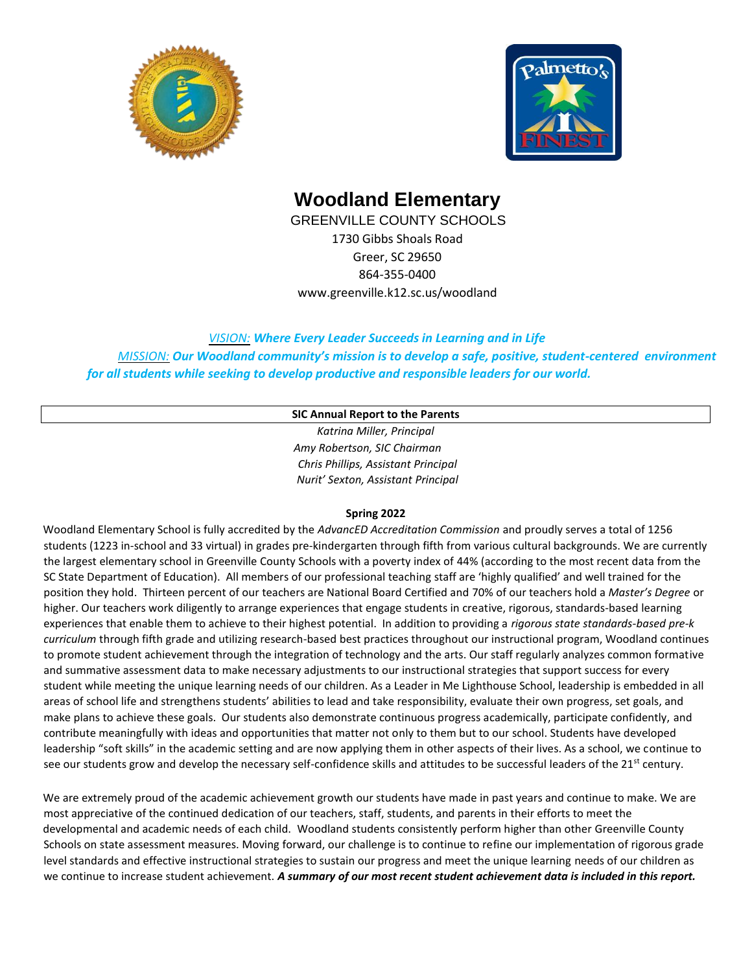



#### **Woodland Elementary**

GREENVILLE COUNTY SCHOOLS 1730 Gibbs Shoals Road Greer, SC 29650 864-355-0400 www.greenville.k12.sc.us/woodland

*VISION: Where Every Leader Succeeds in Learning and in Life MISSION: Our Woodland community's mission is to develop a safe, positive, student-centered environment for all students while seeking to develop productive and responsible leaders for our world.* 

#### **SIC Annual Report to the Parents**

*Katrina Miller, Principal Amy Robertson, SIC Chairman Chris Phillips, Assistant Principal Nurit' Sexton, Assistant Principal*

#### **Spring 2022**

Woodland Elementary School is fully accredited by the *AdvancED Accreditation Commission* and proudly serves a total of 1256 students (1223 in-school and 33 virtual) in grades pre-kindergarten through fifth from various cultural backgrounds. We are currently the largest elementary school in Greenville County Schools with a poverty index of 44% (according to the most recent data from the SC State Department of Education). All members of our professional teaching staff are 'highly qualified' and well trained for the position they hold. Thirteen percent of our teachers are National Board Certified and 70% of our teachers hold a *Master's Degree* or higher. Our teachers work diligently to arrange experiences that engage students in creative, rigorous, standards-based learning experiences that enable them to achieve to their highest potential. In addition to providing a *rigorous state standards-based pre-k curriculum* through fifth grade and utilizing research-based best practices throughout our instructional program, Woodland continues to promote student achievement through the integration of technology and the arts. Our staff regularly analyzes common formative and summative assessment data to make necessary adjustments to our instructional strategies that support success for every student while meeting the unique learning needs of our children. As a Leader in Me Lighthouse School, leadership is embedded in all areas of school life and strengthens students' abilities to lead and take responsibility, evaluate their own progress, set goals, and make plans to achieve these goals. Our students also demonstrate continuous progress academically, participate confidently, and contribute meaningfully with ideas and opportunities that matter not only to them but to our school. Students have developed leadership "soft skills" in the academic setting and are now applying them in other aspects of their lives. As a school, we continue to see our students grow and develop the necessary self-confidence skills and attitudes to be successful leaders of the 21<sup>st</sup> century.

We are extremely proud of the academic achievement growth our students have made in past years and continue to make. We are most appreciative of the continued dedication of our teachers, staff, students, and parents in their efforts to meet the developmental and academic needs of each child. Woodland students consistently perform higher than other Greenville County Schools on state assessment measures. Moving forward, our challenge is to continue to refine our implementation of rigorous grade level standards and effective instructional strategies to sustain our progress and meet the unique learning needs of our children as we continue to increase student achievement. *A summary of our most recent student achievement data is included in this report.*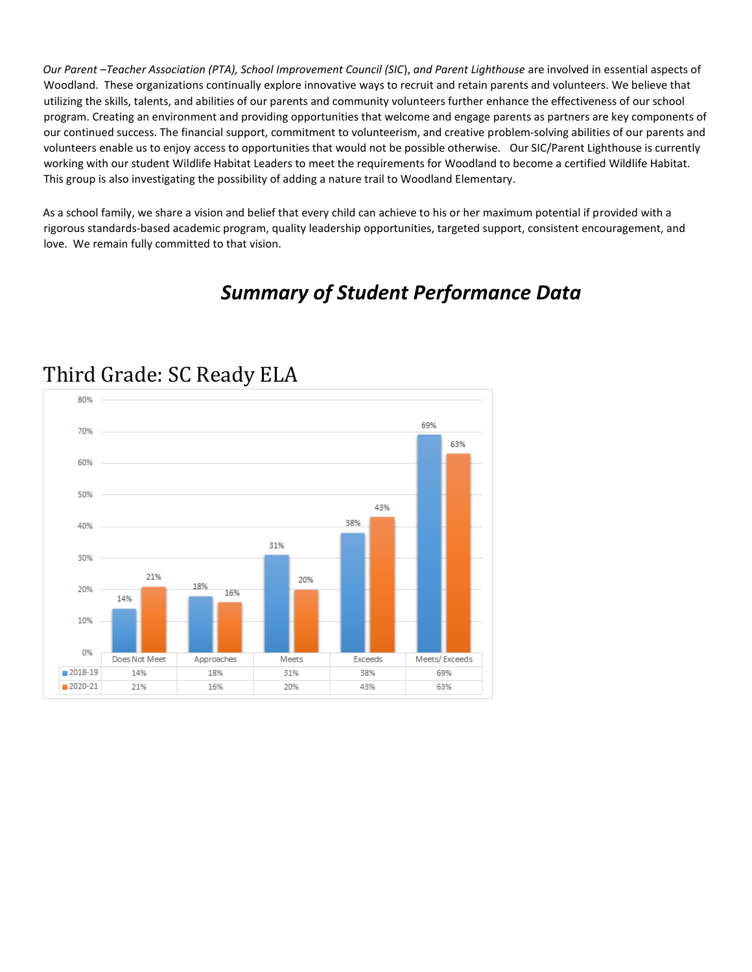*Our Parent –Teacher Association (PTA), School Improvement Council (SIC*), *and Parent Lighthouse* are involved in essential aspects of Woodland. These organizations continually explore innovative ways to recruit and retain parents and volunteers. We believe that utilizing the skills, talents, and abilities of our parents and community volunteers further enhance the effectiveness of our school program. Creating an environment and providing opportunities that welcome and engage parents as partners are key components of our continued success. The financial support, commitment to volunteerism, and creative problem-solving abilities of our parents and volunteers enable us to enjoy access to opportunities that would not be possible otherwise. Our SIC/Parent Lighthouse is currently working with our student Wildlife Habitat Leaders to meet the requirements for Woodland to become a certified Wildlife Habitat. This group is also investigating the possibility of adding a nature trail to Woodland Elementary.

As a school family, we share a vision and belief that every child can achieve to his or her maximum potential if provided with a rigorous standards-based academic program, quality leadership opportunities, targeted support, consistent encouragement, and love. We remain fully committed to that vision.

### *Summary of Student Performance Data*



### Third Grade: SC Ready ELA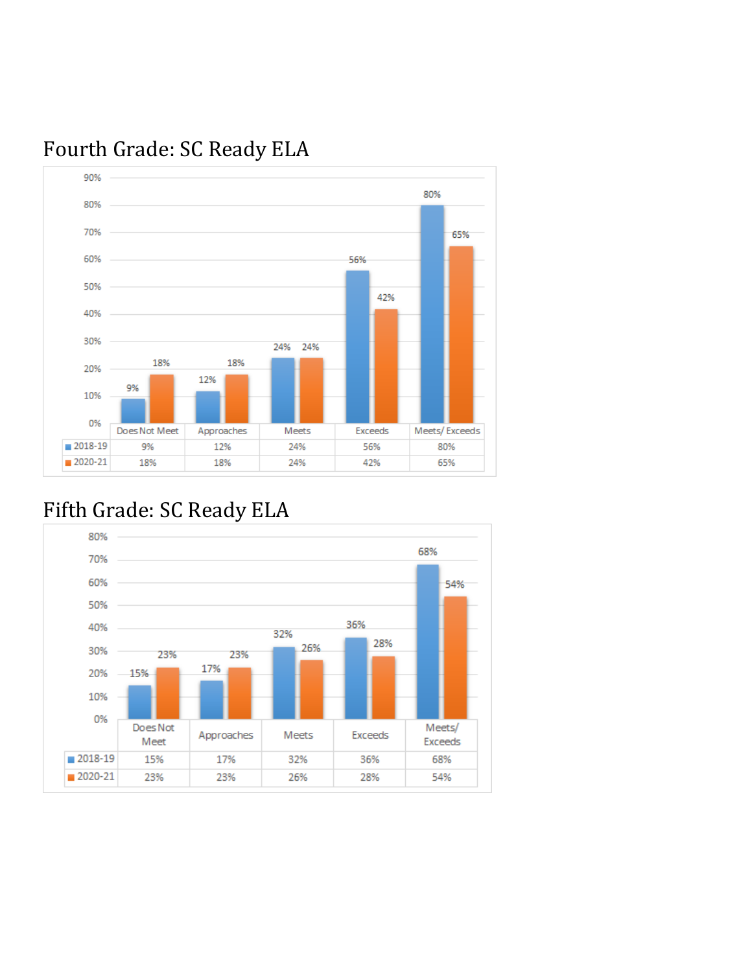

# Fourth Grade: SC Ready ELA

## Fifth Grade: SC Ready ELA

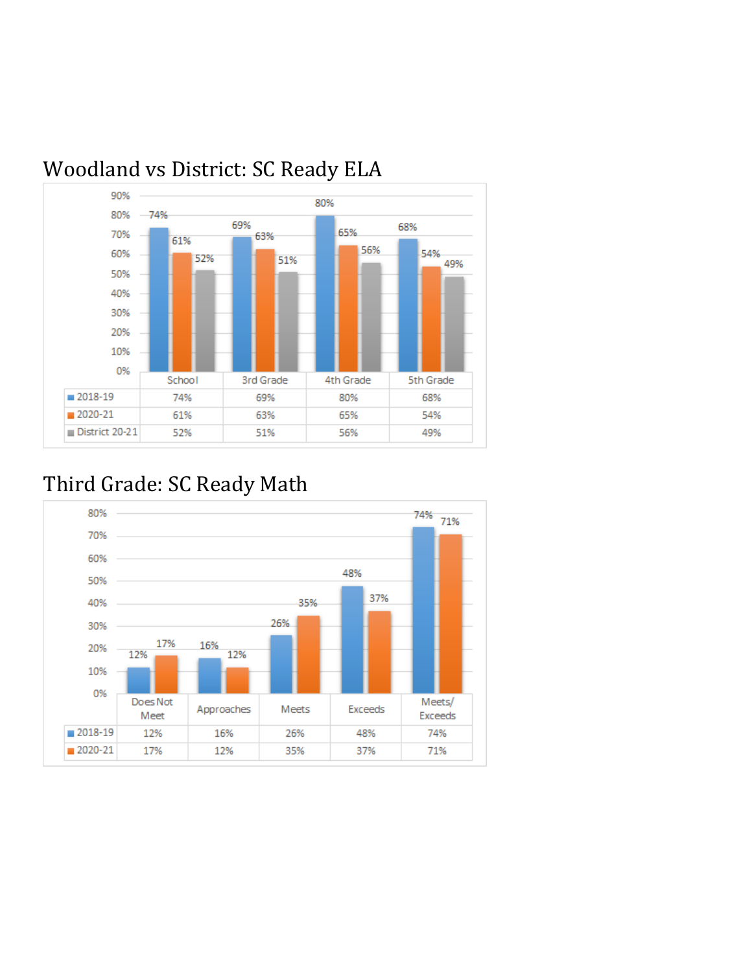

# Woodland vs District: SC Ready ELA

## Third Grade: SC Ready Math

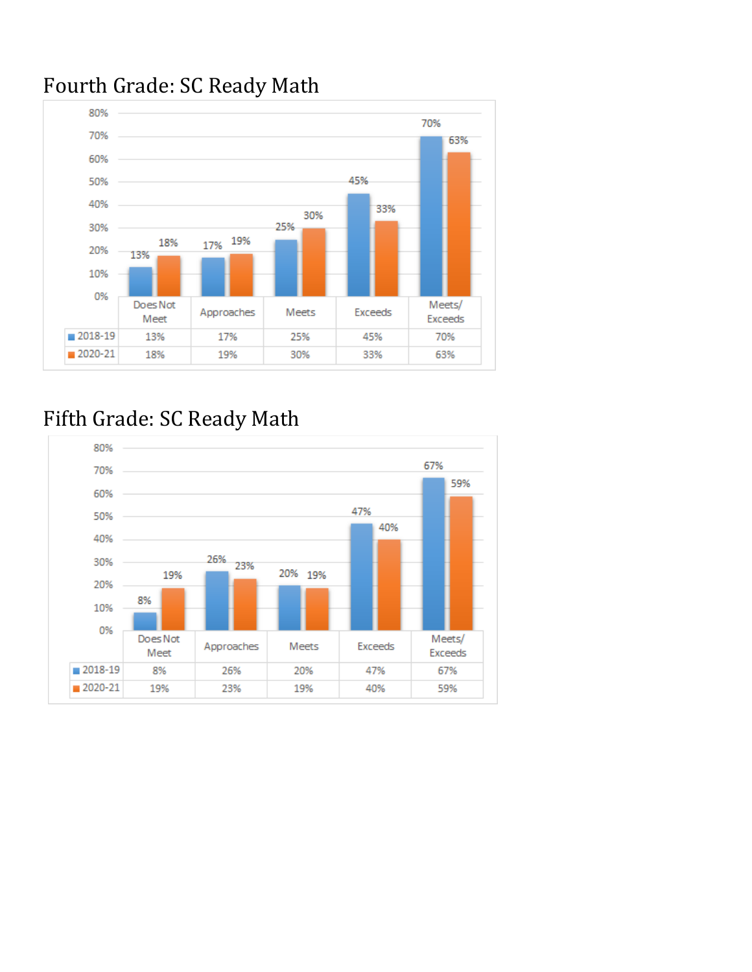

## Fourth Grade: SC Ready Math

# Fifth Grade: SC Ready Math

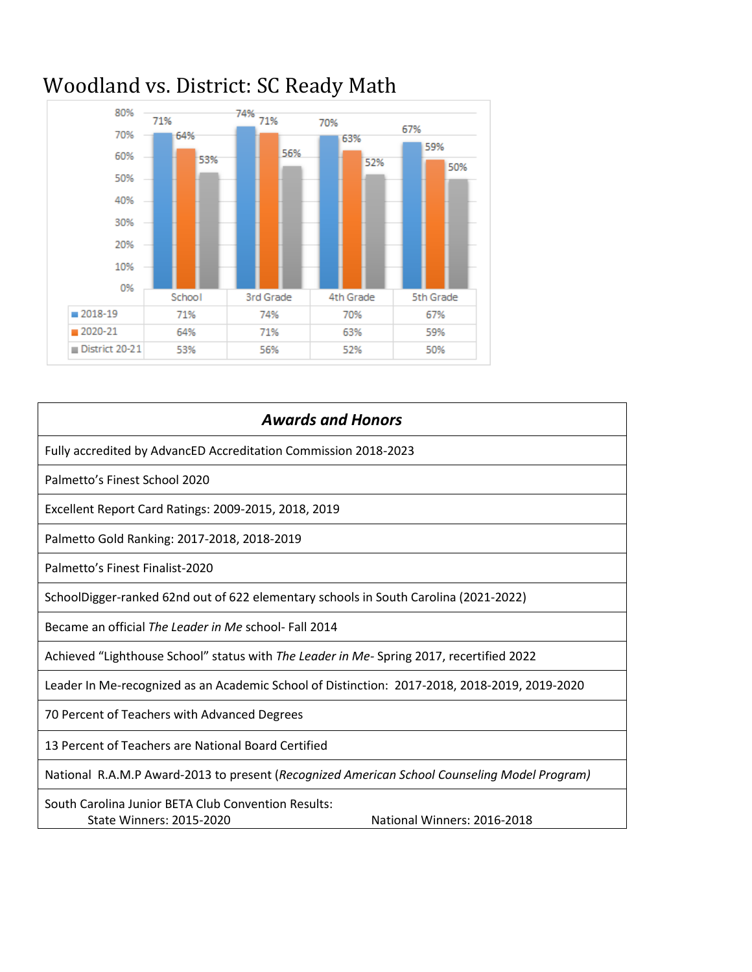

# Woodland vs. District: SC Ready Math

| <b>Awards and Honors</b>                                                                                              |
|-----------------------------------------------------------------------------------------------------------------------|
| Fully accredited by AdvancED Accreditation Commission 2018-2023                                                       |
| Palmetto's Finest School 2020                                                                                         |
| Excellent Report Card Ratings: 2009-2015, 2018, 2019                                                                  |
| Palmetto Gold Ranking: 2017-2018, 2018-2019                                                                           |
| Palmetto's Finest Finalist-2020                                                                                       |
| SchoolDigger-ranked 62nd out of 622 elementary schools in South Carolina (2021-2022)                                  |
| Became an official The Leader in Me school- Fall 2014                                                                 |
| Achieved "Lighthouse School" status with The Leader in Me- Spring 2017, recertified 2022                              |
| Leader In Me-recognized as an Academic School of Distinction: 2017-2018, 2018-2019, 2019-2020                         |
| 70 Percent of Teachers with Advanced Degrees                                                                          |
| 13 Percent of Teachers are National Board Certified                                                                   |
| National R.A.M.P Award-2013 to present (Recognized American School Counseling Model Program)                          |
| South Carolina Junior BETA Club Convention Results:<br><b>State Winners: 2015-2020</b><br>National Winners: 2016-2018 |
|                                                                                                                       |